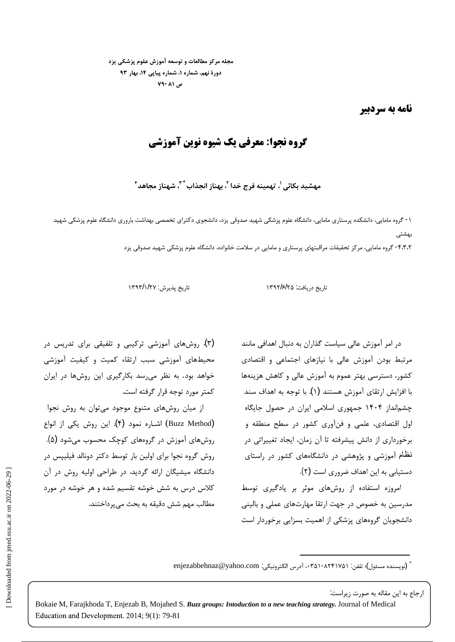مجله مرکز مطالعات و توسعه آموزش علوم پزشکی یزد دورهٔ نهم، شماره ۱، شماره پیاپی ۱۴، بهار ۹۳ **-**

نامه به سردبیر

## **. وه نجوا: « الله عنها الله عنها الله عنها الله عنها الله عنها الله عنها الله عنها الله عنها الله عنها الله ع**

مهشيد بكائي <sup>י</sup>، تهمينه فرج خدا <sup>٢</sup>، بهناز انجذاب <sup>\* ٣</sup>، شهناز مجاهد <sup>۴</sup>

 $-1$ بھشتے ، ا ۴،۳۰۲ گروه مامایی، مرکز تحقیقات مراقبتهای پرستاری و مامایی در سلامت خانواده، دانشگاه علوم پزشکی شهید صدوقی یزد

تاریخ دریافت: ۱۳۹۲/۶/۲۵ ۱۳۹۲/۶/۲۵ میسینی ۱۳۹۳/۱/۲۷ ا

در امر آموزش عالی سیاست گذاران به دنبال اهدافی مانند (۳). روش های آموزشی ترکیبی و تلفیقی برای تدریس در محیطهای آموزشی سبب ارتقاء کمیت و کیفیت آموزشی خواهد بود. به نظر می رسد بکارگیری این روشها در ایران

از میان روشهای متنوع موجود می توان به روش نجوا روش گروه نجوا برای اولین بار توسط دکتر دونالد فیلیپس در يگان ارائه گرديد. در طراحى اوليه روش در آن<br>به شش خوشه تقسيم شده و هر خوشه در مورد<br>شش دقيقه به بحث <sub>مى</sub>پرداختند.<br>en <sup>Bo</sup>wing in 2022<br>Bokaie M, Farajkhoda T, Enjezab B, Mojahed :<br>Education and Development. 2014; 9(1): 79-81

مرتبط بودن آموزش عالی با نیازهای اجتماعی و اقتصادی کشور، دسترسی بهتر عموم به آموزش عالی و کاهش هزینهها با افزایش ارتقای آموزش هستند (۱). با توجه به اهداف سند کمتر مورد توجه قرار گرفته است. چشمانداز ۱۴۰۴ جمهوری اسلامی ایران در حصول جایگاه اول اقتصادی، علمی و فنآوری کشور در سطح منطقه و د (Buzz Method) اشاره نمود (۴). این روش یکی از انواع برخورداری از دانش پیشرفته تا آن زمان، ایجاد تغییراتی در مسلسل روشهای آموزش در گروههای کوچک محسوب میشود (۵). نظام آموزشی و پژوهشی در دانشگاههای کشور در راستای .( ) .

امروزه استفاده از روشهای موثر بر یادگیری توسط مدرسین به خصوص در جهت ارتقا مهارتهای عملی و بالینی مسمع اسلام مهم شش دقیقه به بحث می پرداختند. دانشجویان گروههای پزشکی از اهمیت بسزایی برخوردار است

> \* \* (نويسنده مسئول)؛ تلفن: ۰۳۵۱-۸۲۴۱۷۵۱-۰۳۵ ، آدرس الكترونيكي: enjezabbehnaz@yahoo.com

> > ارجاع به این مقاله به صورت زیراست:

Bokaie M, Farajkhoda T, Enjezab B, Mojahed S. *Buzz groups: Intoduction to a new teaching strategy.* Journal of Medical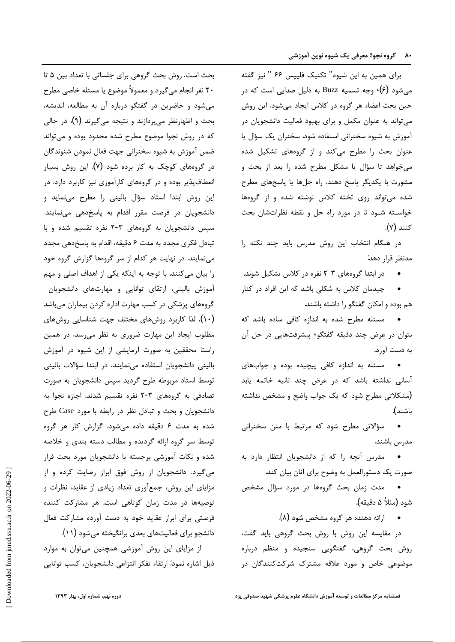برای همین به این شیوه" تکنیک فلیپس ۶۶ " نیز گفته بحث است. می شود (۶)۰ وجه تسمیه Buzz به دلیل صدایی است که در حین بحث اعضاء هر گروه در کلاس ایجاد میشود. این روش می تواند به عنوان مکمل و برای بهبود فعالیت دانشجویان در مسمع بحث و اظهارنظر می بردازند و نتیجه می گیرند (۹)، در حالی آموزش به شیوه سخنرانی استفاده شود. سخنران یک سؤال یا عنوان بحث را مطرح میکند و از گروههای تشکیل شده میخواهد تا سؤال یا مشکل مطرح شده را بعد از بحث و مصدر گروههای کوچک به کار برده شود (۷). این روش بسیار مشورت با یکدیگر پاسخ دهند. راه حلها یا پاسخهای مطرح شده می تواند روی تخته کلاس نوشته شده و از گروهها خواسـته شـود تا در مورد راه حل و نقطه نظراتشان بحث مصد انشجويان در فرصت مقرر اقدام به پاسخدهي مينمايند. - كنند (٧).

> در هنگام انتخاب این روش مدرس باید چند نکته را . مدنظر قرار دهد.

● در ابتدا گروههای ۳ ۲ نفره در کلاس تشکیل شوند. را بیان میکنند.

چیدمان کلاس به شکلی باشد که این افراد در کنار هم بوده و امکان گفتگو را داشته باشند.

به دست آورد. بتوان در عرض چند دقیقه گفتگو٬ پیشرفتهایی در حل آن مسلوب ایجاد این مهارت ضروری به نظر می رسد. در همین

مسئله به اندازه كافى پيچيده بوده و جوابهاى آسانی نداشته باشد که در عرض چند ثانیه خاتمه یابد (مشکلاتی مطرح شود که یک جواب واضح و مشخص نداشته مسمت تصادفی به گروههای ۳-۲ نفره تقسیم شدند. اجازه نجوا به ) باشند**).** 

مدرس باشند.

• مدرس آنچه را که از دانشجویان انتظار دارد به . .

• مدت زمان بحث گروهها در مورد سؤال مشخص شود (مثلاً ۵ دقیقه).

• ارائه دهنده هر گروه مشخص شود (۸).

در مقايسه اين روش با روش بحث گروهي بايد گفت، دانشجو براي فعاليتهاي بعدي برانگيخته ميشود (١١). روش بحث گروهی، گفتگویی سنجیده و منظم درباره موضوعی خاص و مورد علاقه مشترک شرکتکنندگان در

۲۰ نفر انجام میگیرد و معمولاً موضوع یا مسئله خاصی مطرح می شود و حاضرین در گفتگو درباره آن به مطالعه، اندیشه، که در روش نجوا موضوع مطرح شده محدود بوده و می تواند ضمن آموزش به شيوه سخنراني جهت فعال نمودن شنوندگان انعطافپذیر بوده و در گروههای کارآموزی نیز کاربرد دارد. در این روش ابتدا استاد سؤال بالینی را مطرح مینماید و تبادل فكرى مجدد به مدت ۶ دقيقه، اقدام به پاسخدهى مجدد آموزش بالینی، ارتقای توانایی و مهارتهای دانشجویان گروههای پزشکی در کسب مهارت اداره کردن بیماران میباشد • مسئله مطرح شده به اندازه کافی ساده باشد که (١٠)، لذا کاربرد روشهای مختلف جهت شناسایی روشهای راستا محققین به صورت آزمایشی از این شیوه در آموزش بالینی دانشجویان استفاده مینمایند، در ابتدا سؤالات بالینی توسط استاد مربوطه طرح گردید سپس دانشجویان به صورت Case • سؤالاتی مطرح شود که مرتبط با متن سخنرانی شده به مدت ۶ دقیقه داده میشود. گزارش کار هر گروه توسط سر گروه ارائه گردیده و مطالب دسته بندی و خلاصه شده و نکات آموزشی برجسته با دانشجویان مورد بحث قرار جویان از روش فوق ابراز رضایت کرده و از<br>ن، جمعآوری تعداد زیادی از عقاید، نظرات و<br>دت زمان کوتاهی است. هر مشارکت فعال<br>الیتهای بعدی برانگیخته میشود (۱۱).<br>این روش آموزشی همچنین میتوان به موارد<br>این روش آموزشی همچنین میتوان به م توصیهها در مدت زمان کوتاهی است. هر مشارکت کننده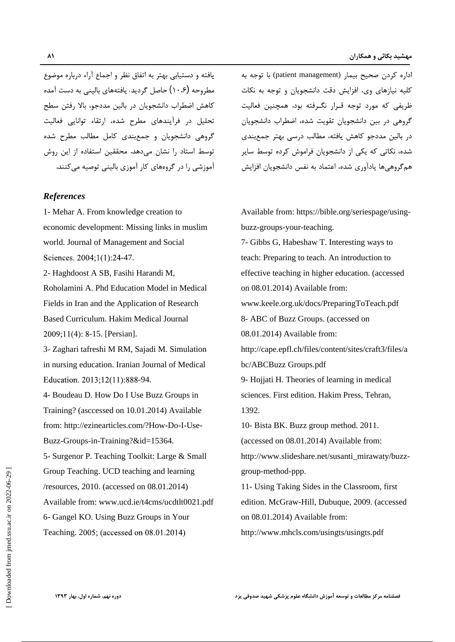یافته و دستیابی بهتر به اتفاق نظر و اجماع آراء درباره موضوع كاهش اضطراب دانشجويان در بالين مددجو، بالا رفتن سطح تحلیل در فرآیندهای مطرح شده، ارتقاء توانایی فعالیت گروهی دانشجویان و جمع بندی کامل مطالب مطرح شده

## *References*

economic development: Missing links in muslim

Roholamini A. Phd Education Model in Medical

4- Boudeau D. How Do I Use Buzz Groups in Training? (asccessed on 10.01.2014) Available 1392. from:<http://ezinearticles.com/?How-Do-I-Use->

Group Teaching. UCD teaching and learning Available from: [www.ucd.ie/t4cms/ucdtlt0021.pdf](http://www.ucd.ie/t4cms/ucdtlt0021.pdf) 6- Gangel KO. Using Buzz Groups in Your Teaching. 2005; (accessed on 08.01.2014) http://www.mhcls.com/usingts/usingts.pdf http://www.ucd.ie/t4cms/ucdltl0021.pdf [ Download-ppp.<br>
Available from: www.ucd.ie/t4cms/ucdlt10021.pdf [ Consig Taking Sides in the Classroom,<br>
Available from: www.ucd.ie/t4cms/ucdlt10021.pdf [ Consing Taking Sides in th

اداره کردن صحیح بیمار (patient management) با توجه به کلیه نیازهای وی، افزایش دقت دانشجویان و توجه به نکات مطروحه (۱۰،۶) حاصل گردید. یافتههای بالینی به دست آمده ظریفی که مورد توجه قـرار نگـرفته بود. همچنین فعالیت گروهی در بین دانشجویان تقویت شده، اضطراب دانشجویان در بالین مددجو کاهش یافته، مطالب درسی بهتر جمعیندی شده، نکاتی که یکی از دانشجویان فراموش کرده توسط سایر مسلس توسط استاد را نشان میدهد. محققین استفاده از این روش همگروهی ها یادآوری شده، اعتماد به نفس دانشجویان افزایش مسلسل آموزشی را در گروههای کار آموزی بالینی توصیه می کنند.

1- Mehar A. From knowledge creation to Available from: [https://bible.org/seriespage/using](https://bible.org/seriespage/using-) world. Journal of Management and Social and Social and Social and Social and Social and Social and Social and Social and Social and Social and Social and Social and Social and Social and T. Interesting ways to teach. An in 2- Haghdoost A SB, Fasihi Harandi M, effective teaching in higher education. (accessed Fields in Iran and the Application of Research [www.keele.org.uk/docs/PreparingToTeach.pdf](http://www.keele.org.uk/docs/PreparingToTeach.pdf) Based Curriculum. Hakim Medical Journal 1992 - 15. [Persian].<br>2009;11(4): 8-15. [Persian]. 15. [Persian]. 15. [Persian]. 15. [Persian]. 15. [Persian]. 15. [Persian]. 3- Zaghari tafreshi M RM, Sajadi M. Simulation <http://cape.epfl.ch/files/content/sites/craft3/files/a> in nursing education. Iranian Journal of Medical -94. 9- Hojjati H. Theories of learning in medical <Buzz-Groups-in-Training?&id=15364>. (accessed on 08.01.2014) Available from: 5- Surgenor P. Teaching Toolkit: Large & Small [http://www.slideshare.net/susanti\\_mirawaty/buzz-](http://www.slideshare.net/susanti_mirawaty/buzz-) /resources, 2010. (accessed on 08.01.2014) 11- Using Taking Sides in the Classroom, first <buzz-groups-your-teaching>. teach: Preparing to teach. An introduction to on 08.01.2014) Available from: 8- ABC of Buzz Groups. (accessed on 08.01.2014) Available from: bc/ABCBuzz Groups.pdf sciences. First edition. Hakim Press, Tehran, 1392. 10- Bista BK. Buzz group method. 2011. <group-method-ppp>. edition. McGraw-Hill, Dubuque, 2009. (accessed on 08.01.2014) Available from: